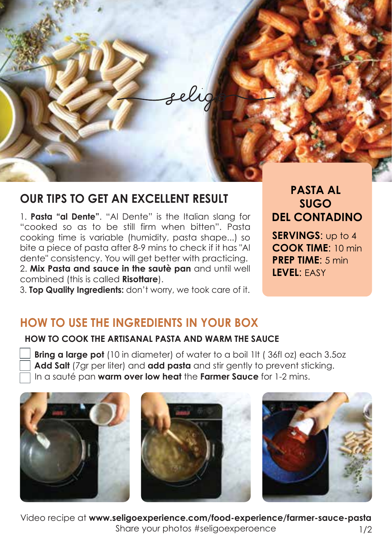

# **OUR TIPS TO GET AN EXCELLENT RESULT**

1. **Pasta "al Dente"**. "Al Dente" is the Italian slang for "cooked so as to be still firm when bitten". Pasta cooking time is variable (humidity, pasta shape...) so bite a piece of pasta after 8-9 mins to check if it has "Al dente" consistency. You will get better with practicing. 2. **Mix Pasta and sauce in the sautè pan** and until well combined (this is called **Risottare**).

3. **Top Quality Ingredients:** don't worry, we took care of it.

**PASTA AL SUGO DEL CONTADINO**

**SERVINGS**: up to 4 **COOK TIME**: 10 min **PREP TIME**: 5 min **LEVEL**: EASY

# **HOW TO USE THE INGREDIENTS IN YOUR BOX**

### **HOW TO COOK THE ARTISANAL PASTA AND WARM THE SAUCE**

 **Bring a large pot** (10 in diameter) of water to a boil 1lt ( 36fl oz) each 3.5oz **Add Salt** (7gr per liter) and **add pasta** and stir gently to prevent sticking. In a sauté pan **warm over low heat** the **Farmer Sauce** for 1-2 mins.



Video recipe at **www.seligoexperience.com/food-experience/farmer-sauce-pasta** Share your photos #seligoexperoence 1/2